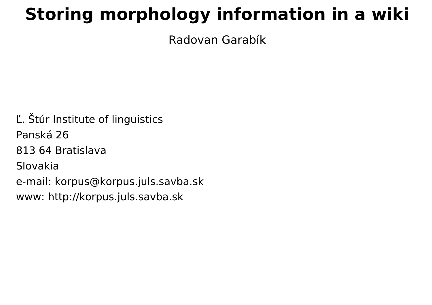#### **Storing morphology information in a wiki**

Radovan Garabík

Ľ. Štúr Institute of linguistics Panská 26 813 64 Bratislava Slovakia e-mail: korpus@korpus.juls.savba.sk www: http://korpus.juls.savba.sk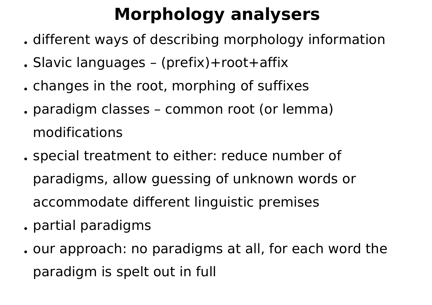## **Morphology analysers**

- . different ways of describing morphology information
- Slavic languages (prefix)+root+affix
- . changes in the root, morphing of suffixes
- . paradigm classes common root (or lemma) modifications
- . special treatment to either: reduce number of paradigms, allow guessing of unknown words or accommodate different linguistic premises
- . partial paradigms
- . our approach: no paradigms at all, for each word the paradigm is spelt out in full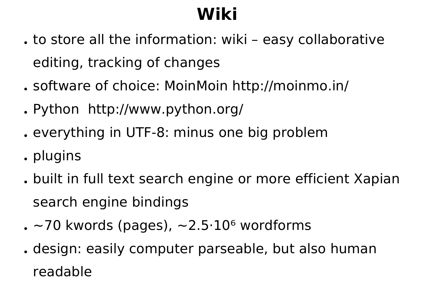# **Wiki**

- . to store all the information: wiki easy collaborative editing, tracking of changes
- . software of choice: MoinMoin http://moinmo.in/
- . Python http://www.python.org/
- . everything in UTF-8: minus one big problem
- . plugins
- . built in full text search engine or more efficient Xapian search engine bindings
- $\sim$  70 kwords (pages),  $\sim$ 2.5 $\cdot$ 10 $\rm{^6}$  wordforms
- . design: easily computer parseable, but also human readable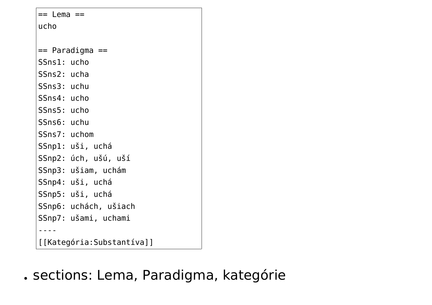| == Lema ==                |                       |
|---------------------------|-----------------------|
| ucho                      |                       |
|                           |                       |
|                           | == Paradigma ==       |
| SSns1: ucho               |                       |
| SSns2: ucha               |                       |
| SSns3: uchu               |                       |
| SSns4: ucho               |                       |
| SSns5: ucho               |                       |
| SSns6: uchu               |                       |
| SSns7: uchom              |                       |
|                           | SSnpl: uši, uchá      |
|                           | SSnp2: úch, ušú, uší  |
|                           | SSnp3: ušiam, uchám   |
|                           | SSnp4: uši, uchá      |
|                           | SSnp5: uši, uchá      |
|                           | SSnp6: uchách, ušiach |
|                           | SSnp7: ušami, uchami  |
|                           |                       |
| [[Kategória:Substantíva]] |                       |

. sections: Lema, Paradigma, kategórie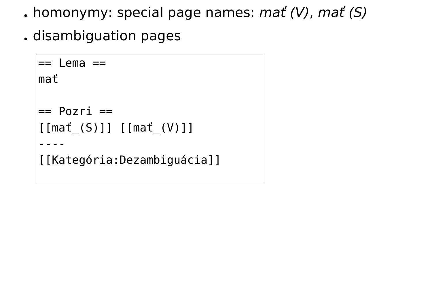- . homonymy: special page names:  $mat (V)$ ,  $mat (S)$
- . disambiguation pages

```
== Lema ==mať
== Pozri ==[[mať_(S)]] [[mať_(V)]]
----
[[Kategória:Dezambiguácia]]
```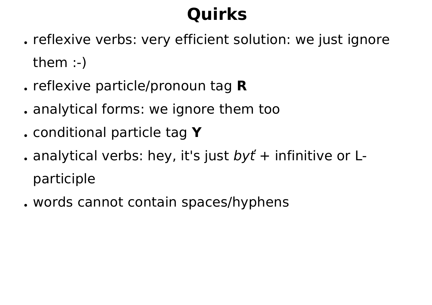## **Quirks**

- . reflexive verbs: very efficient solution: we just ignore them :-)
- reflexive particle/pronoun tag **R**
- . analytical forms: we ignore them too
- conditional particle tag **Y**
- . analytical verbs: hey, it's just  $byt' +$  infinitive or Lparticiple
- words cannot contain spaces/hyphens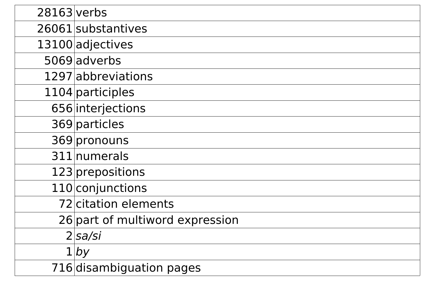| 28163 verbs |                                 |
|-------------|---------------------------------|
|             | 26061 substantives              |
|             | 13100 adjectives                |
|             | 5069 adverbs                    |
|             | 1297 abbreviations              |
|             | 1104 participles                |
|             | 656 interjections               |
|             | 369 particles                   |
|             | 369 pronouns                    |
|             | 311 numerals                    |
|             | 123 prepositions                |
|             | 110 conjunctions                |
|             | 72 citation elements            |
|             | 26 part of multiword expression |
|             | 2 sa/si                         |
|             | $1$ by                          |
|             | 716 disambiguation pages        |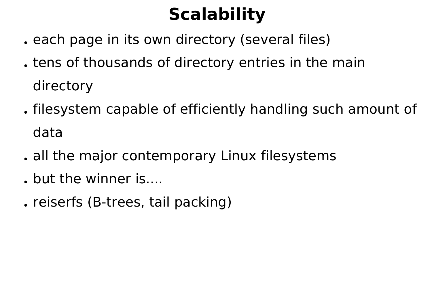## **Scalability**

- . each page in its own directory (several files)
- . tens of thousands of directory entries in the main directory
- . filesystem capable of efficiently handling such amount of data
- . all the major contemporary Linux filesystems
- . but the winner is....
- . reiserfs (B-trees, tail packing)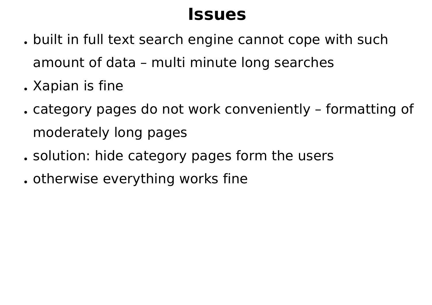#### **Issues**

- . built in full text search engine cannot cope with such amount of data – multi minute long searches
- . Xapian is fine
- category pages do not work conveniently formatting of moderately long pages
- . solution: hide category pages form the users
- . otherwise everything works fine